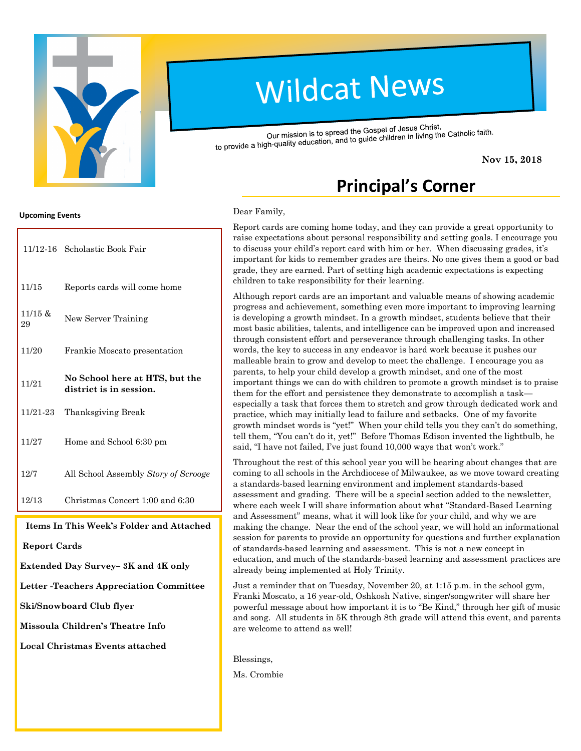

# **Wildcat News**

Our mission is to spread the Gospel of Jesus Christ, Our mission is to spread the Gospel of Jesus Christ,<br>to provide a high-quality education, and to guide children in living the Catholic faith.

**Nov 15, 2018**

# **Principal's Corner**

#### Dear Family,

Report cards are coming home today, and they can provide a great opportunity to raise expectations about personal responsibility and setting goals. I encourage you to discuss your child's report card with him or her. When discussing grades, it's important for kids to remember grades are theirs. No one gives them a good or bad grade, they are earned. Part of setting high academic expectations is expecting children to take responsibility for their learning.

Although report cards are an important and valuable means of showing academic progress and achievement, something even more important to improving learning is developing a growth mindset. In a growth mindset, students believe that their most basic abilities, talents, and intelligence can be improved upon and increased through consistent effort and perseverance through challenging tasks. In other words, the key to success in any endeavor is hard work because it pushes our malleable brain to grow and develop to meet the challenge. I encourage you as parents, to help your child develop a growth mindset, and one of the most important things we can do with children to promote a growth mindset is to praise them for the effort and persistence they demonstrate to accomplish a task especially a task that forces them to stretch and grow through dedicated work and practice, which may initially lead to failure and setbacks. One of my favorite growth mindset words is "yet!" When your child tells you they can't do something, tell them, "You can't do it, yet!" Before Thomas Edison invented the lightbulb, he said, "I have not failed, I've just found 10,000 ways that won't work."

Throughout the rest of this school year you will be hearing about changes that are coming to all schools in the Archdiocese of Milwaukee, as we move toward creating a standards-based learning environment and implement standards-based assessment and grading. There will be a special section added to the newsletter, where each week I will share information about what "Standard-Based Learning and Assessment" means, what it will look like for your child, and why we are making the change. Near the end of the school year, we will hold an informational session for parents to provide an opportunity for questions and further explanation of standards-based learning and assessment. This is not a new concept in education, and much of the standards-based learning and assessment practices are already being implemented at Holy Trinity.

Just a reminder that on Tuesday, November 20, at 1:15 p.m. in the school gym, Franki Moscato, a 16 year-old, Oshkosh Native, singer/songwriter will share her powerful message about how important it is to "Be Kind," through her gift of music and song. All students in 5K through 8th grade will attend this event, and parents are welcome to attend as well!

Blessings,

Ms. Crombie

#### **Upcoming Events**

|               | 11/12-16 Scholastic Book Fair                             |  |  |
|---------------|-----------------------------------------------------------|--|--|
| 11/15         | Reports cards will come home                              |  |  |
| 11/15 &<br>29 | New Server Training                                       |  |  |
| 11/20         | Frankie Moscato presentation                              |  |  |
| 11/21         | No School here at HTS, but the<br>district is in session. |  |  |
| 11/21-23      | Thanksgiving Break                                        |  |  |
| 11/27         | Home and School 6:30 pm                                   |  |  |
| 12/7          | All School Assembly Story of Scrooge                      |  |  |
| 12/13         | Christmas Concert 1:00 and 6:30                           |  |  |

**Items In This Week's Folder and Attached**

**Report Cards**

**Extended Day Survey– 3K and 4K only**

**Letter -Teachers Appreciation Committee**

**Ski/Snowboard Club flyer**

**Missoula Children's Theatre Info**

**Local Christmas Events attached**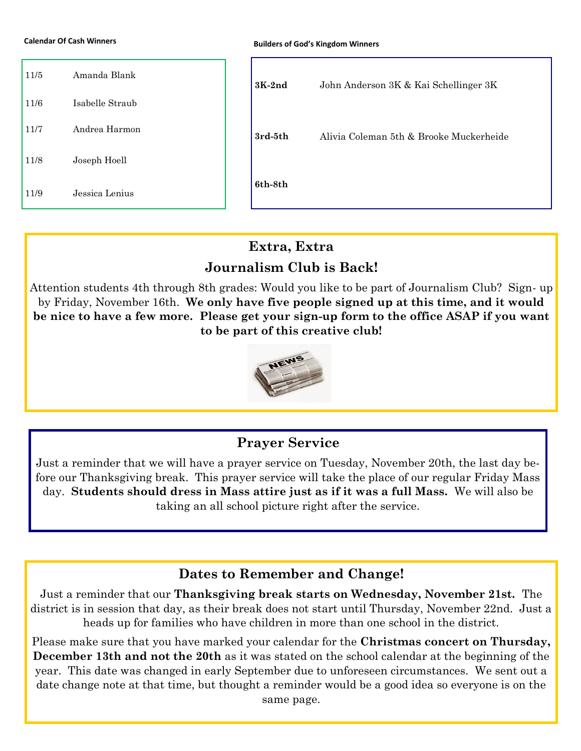**Calendar Of Cash Winners**

| 11/5 | Amanda Blank    |  | $3K-2nd$ | John Anderson 3K & Kai Schellinger 3K   |
|------|-----------------|--|----------|-----------------------------------------|
| 11/6 | Isabelle Straub |  |          |                                         |
| 11/7 | Andrea Harmon   |  | 3rd-5th  | Alivia Coleman 5th & Brooke Muckerheide |
| 11/8 | Joseph Hoell    |  |          |                                         |
| 11/9 | Jessica Lenius  |  | 6th-8th  |                                         |

### **Extra, Extra**

# **Journalism Club is Back!**

Attention students 4th through 8th grades: Would you like to be part of Journalism Club? Sign- up by Friday, November 16th. **We only have five people signed up at this time, and it would be nice to have a few more. Please get your sign-up form to the office ASAP if you want to be part of this creative club!** 



# **Prayer Service**

Just a reminder that we will have a prayer service on Tuesday, November 20th, the last day before our Thanksgiving break. This prayer service will take the place of our regular Friday Mass day. **Students should dress in Mass attire just as if it was a full Mass.** We will also be taking an all school picture right after the service.

#### **Dates to Remember and Change!**

Just a reminder that our **Thanksgiving break starts on Wednesday, November 21st.** The district is in session that day, as their break does not start until Thursday, November 22nd. Just a heads up for families who have children in more than one school in the district.

Please make sure that you have marked your calendar for the **Christmas concert on Thursday, December 13th and not the 20th** as it was stated on the school calendar at the beginning of the year. This date was changed in early September due to unforeseen circumstances. We sent out a date change note at that time, but thought a reminder would be a good idea so everyone is on the same page.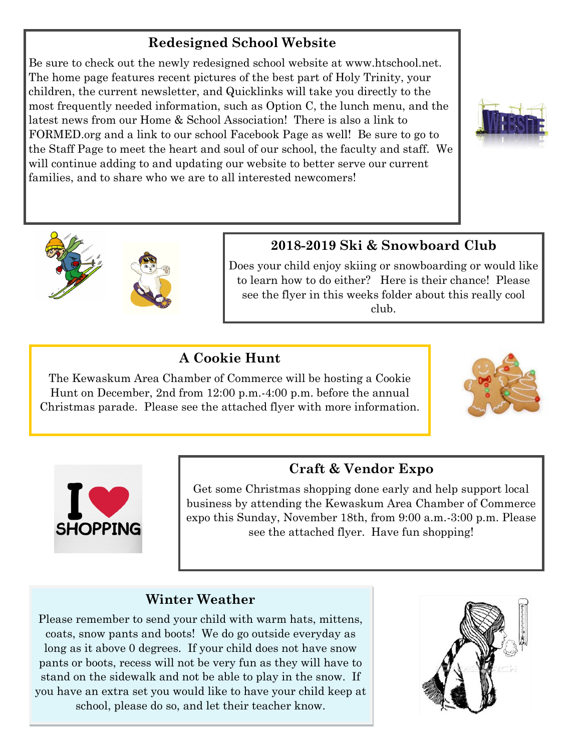# **Redesigned School Website**

Be sure to check out the newly redesigned school website at www.htschool.net. The home page features recent pictures of the best part of Holy Trinity, your children, the current newsletter, and Quicklinks will take you directly to the most frequently needed information, such as Option C, the lunch menu, and the latest news from our Home & School Association! There is also a link to FORMED.org and a link to our school Facebook Page as well! Be sure to go to the Staff Page to meet the heart and soul of our school, the faculty and staff. We will continue adding to and updating our website to better serve our current families, and to share who we are to all interested newcomers!





# **2018-2019 Ski & Snowboard Club**

Does your child enjoy skiing or snowboarding or would like to learn how to do either? Here is their chance! Please see the flyer in this weeks folder about this really cool club.

# **A Cookie Hunt**

The Kewaskum Area Chamber of Commerce will be hosting a Cookie Hunt on December, 2nd from 12:00 p.m.-4:00 p.m. before the annual Christmas parade. Please see the attached flyer with more information.





# **Craft & Vendor Expo**

Get some Christmas shopping done early and help support local business by attending the Kewaskum Area Chamber of Commerce expo this Sunday, November 18th, from 9:00 a.m.-3:00 p.m. Please see the attached flyer. Have fun shopping!

# **Winter Weather**

Please remember to send your child with warm hats, mittens, coats, snow pants and boots! We do go outside everyday as long as it above 0 degrees. If your child does not have snow pants or boots, recess will not be very fun as they will have to stand on the sidewalk and not be able to play in the snow. If you have an extra set you would like to have your child keep at school, please do so, and let their teacher know.